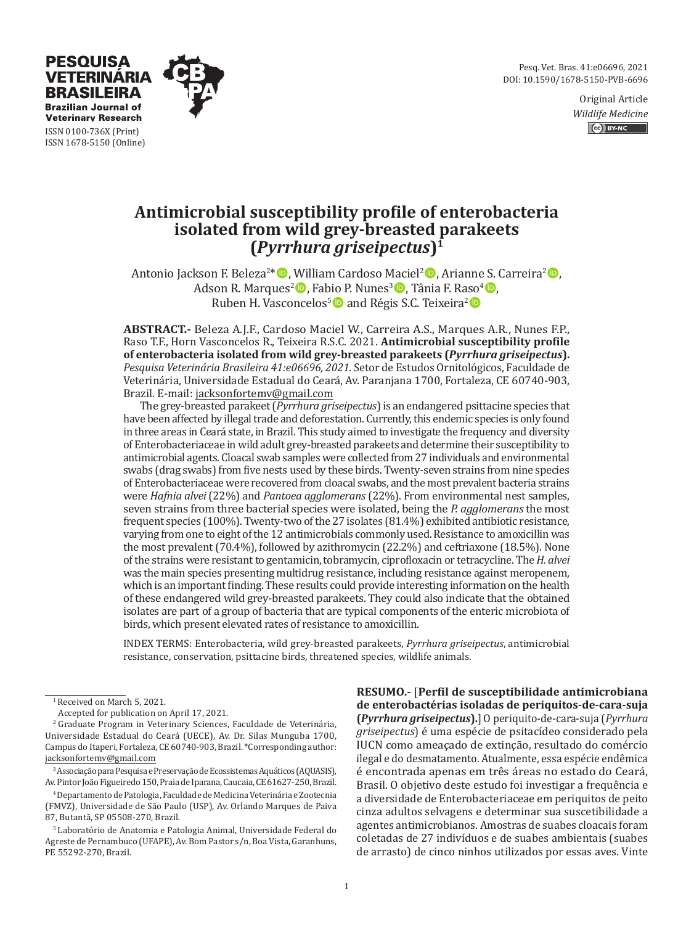Pesq. Vet. Bras. 41:e06696, 2021 DOI: 10.1590/1678-5150-PVB-6696

> Original Article *Wildlife Medicine* CC BY-NC



**Veterinary Research** ISSN 0100-736X (Print) ISSN 1678-5150 (Online)

PESOUISA **VETERINARIA BRASILEIRA Brazilian Journal of** 

# **Antimicrobial susceptibility profile of enterobacteria isolated from wild grey-breasted parakeets (***Pyrrhura griseipectus***)1**

Antonio Jackson F. Beleza<sup>2\*</sup> (**b**, William Cardoso Maciel<sup>2</sup> (**b**, Arianne S. Carreira<sup>2</sup> (**b**, Adson R. Marques<sup>2</sup> $\bullet$ , Fabio P. Nunes<sup>3</sup> $\bullet$ , Tânia F. Raso<sup>4</sup> $\bullet$ , Ruben H. Vasconcelos<sup>5</sup> and Régis S.C. Teixeira<sup>2</sup>

**ABSTRACT.-** Beleza A.J.F., Cardoso Maciel W., Carreira A.S., Marques A.R., Nunes F.P., Raso T.F., Horn Vasconcelos R., Teixeira R.S.C. 2021. **Antimicrobial susceptibility profile of enterobacteria isolated from wild grey-breasted parakeets (***Pyrrhura griseipectus***).** *Pesquisa Veterinária Brasileira 41:e06696, 2021.* Setor de Estudos Ornitológicos, Faculdade de Veterinária, Universidade Estadual do Ceará, Av. Paranjana 1700, Fortaleza, CE 60740-903, Brazil. E-mail: jacksonfortemv@gmail.com

The grey-breasted parakeet (*Pyrrhura griseipectus*) is an endangered psittacine species that have been affected by illegal trade and deforestation. Currently, this endemic species is only found in three areas in Ceará state, in Brazil. This study aimed to investigate the frequency and diversity of Enterobacteriaceae in wild adult grey-breasted parakeets and determine their susceptibility to antimicrobial agents. Cloacal swab samples were collected from 27 individuals and environmental swabs (drag swabs) from five nests used by these birds. Twenty-seven strains from nine species of Enterobacteriaceae were recovered from cloacal swabs, and the most prevalent bacteria strains were *Hafnia alvei* (22%) and *Pantoea agglomerans* (22%). From environmental nest samples, seven strains from three bacterial species were isolated, being the *P. agglomerans* the most frequent species (100%). Twenty-two of the 27 isolates (81.4%) exhibited antibiotic resistance, varying from one to eight of the 12 antimicrobials commonly used. Resistance to amoxicillin was the most prevalent (70.4%), followed by azithromycin (22.2%) and ceftriaxone (18.5%). None of the strains were resistant to gentamicin, tobramycin, ciprofloxacin or tetracycline. The *H. alvei* was the main species presenting multidrug resistance, including resistance against meropenem, which is an important finding. These results could provide interesting information on the health of these endangered wild grey-breasted parakeets. They could also indicate that the obtained isolates are part of a group of bacteria that are typical components of the enteric microbiota of birds, which present elevated rates of resistance to amoxicillin.

INDEX TERMS: Enterobacteria, wild grey-breasted parakeets, *Pyrrhura griseipectus*, antimicrobial resistance, conservation, psittacine birds, threatened species, wildlife animals.

3 Associação para Pesquisa e Preservação de Ecossistemas Aquáticos (AQUASIS), Av. Pintor João Figueiredo 150, Praia de Iparana, Caucaia, CE 61627-250, Brazil.

4 Departamento de Patologia, Faculdade de Medicina Veterinária e Zootecnia (FMVZ), Universidade de São Paulo (USP), Av. Orlando Marques de Paiva 87, Butantã, SP 05508-270, Brazil.

**RESUMO.-** [**Perfil de susceptibilidade antimicrobiana de enterobactérias isoladas de periquitos-de-cara-suja (***Pyrrhura griseipectus***).**] O periquito-de-cara-suja (*Pyrrhura griseipectus*) é uma espécie de psitacídeo considerado pela IUCN como ameaçado de extinção, resultado do comércio ilegal e do desmatamento. Atualmente, essa espécie endêmica é encontrada apenas em três áreas no estado do Ceará, Brasil. O objetivo deste estudo foi investigar a frequência e a diversidade de Enterobacteriaceae em periquitos de peito cinza adultos selvagens e determinar sua suscetibilidade a agentes antimicrobianos. Amostras de suabes cloacais foram coletadas de 27 indivíduos e de suabes ambientais (suabes de arrasto) de cinco ninhos utilizados por essas aves. Vinte

<sup>&</sup>lt;sup>1</sup> Received on March 5, 2021.

Accepted for publication on April 17, 2021.

<sup>&</sup>lt;sup>2</sup> Graduate Program in Veterinary Sciences, Faculdade de Veterinária, Universidade Estadual do Ceará (UECE), Av. Dr. Silas Munguba 1700, Campus do Itaperi, Fortaleza, CE 60740-903, Brazil. \*Corresponding author: jacksonfortemv@gmail.com

<sup>5</sup> Laboratório de Anatomia e Patologia Animal, Universidade Federal do Agreste de Pernambuco (UFAPE), Av. Bom Pastor s/n, Boa Vista, Garanhuns, PE 55292-270, Brazil.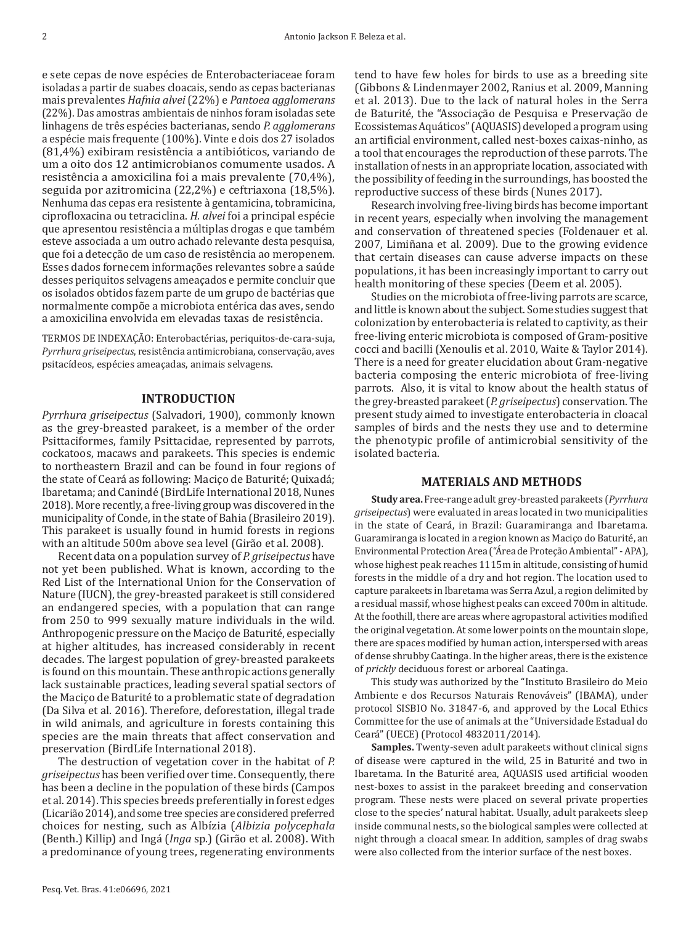e sete cepas de nove espécies de Enterobacteriaceae foram isoladas a partir de suabes cloacais, sendo as cepas bacterianas mais prevalentes *Hafnia alvei* (22%) e *Pantoea agglomerans* (22%). Das amostras ambientais de ninhos foram isoladas sete linhagens de três espécies bacterianas, sendo *P. agglomerans* a espécie mais frequente (100%). Vinte e dois dos 27 isolados (81,4%) exibiram resistência a antibióticos, variando de um a oito dos 12 antimicrobianos comumente usados. A resistência a amoxicilina foi a mais prevalente (70,4%), seguida por azitromicina (22,2%) e ceftriaxona (18,5%). Nenhuma das cepas era resistente à gentamicina, tobramicina, ciprofloxacina ou tetraciclina. *H. alvei* foi a principal espécie que apresentou resistência a múltiplas drogas e que também esteve associada a um outro achado relevante desta pesquisa, que foi a detecção de um caso de resistência ao meropenem. Esses dados fornecem informações relevantes sobre a saúde desses periquitos selvagens ameaçados e permite concluir que os isolados obtidos fazem parte de um grupo de bactérias que normalmente compõe a microbiota entérica das aves, sendo a amoxicilina envolvida em elevadas taxas de resistência.

TERMOS DE INDEXAÇÃO: Enterobactérias, periquitos-de-cara-suja, *Pyrrhura griseipectus*, resistência antimicrobiana, conservação, aves psitacídeos, espécies ameaçadas, animais selvagens.

## **INTRODUCTION**

*Pyrrhura griseipectus* (Salvadori, 1900), commonly known as the grey-breasted parakeet, is a member of the order Psittaciformes, family Psittacidae, represented by parrots, cockatoos, macaws and parakeets. This species is endemic to northeastern Brazil and can be found in four regions of the state of Ceará as following: Maciço de Baturité; Quixadá; Ibaretama; and Canindé (BirdLife International 2018, Nunes 2018). More recently, a free-living group was discovered in the municipality of Conde, in the state of Bahia (Brasileiro 2019). This parakeet is usually found in humid forests in regions with an altitude 500m above sea level (Girão et al. 2008).

Recent data on a population survey of *P. griseipectus* have not yet been published. What is known, according to the Red List of the International Union for the Conservation of Nature (IUCN), the grey-breasted parakeet is still considered an endangered species, with a population that can range from 250 to 999 sexually mature individuals in the wild. Anthropogenic pressure on the Maciço de Baturité, especially at higher altitudes, has increased considerably in recent decades. The largest population of grey-breasted parakeets is found on this mountain. These anthropic actions generally lack sustainable practices, leading several spatial sectors of the Maciço de Baturité to a problematic state of degradation (Da Silva et al. 2016). Therefore, deforestation, illegal trade in wild animals, and agriculture in forests containing this species are the main threats that affect conservation and preservation (BirdLife International 2018).

The destruction of vegetation cover in the habitat of *P. griseipectus* has been verified over time. Consequently, there has been a decline in the population of these birds (Campos et al. 2014). This species breeds preferentially in forest edges (Licarião 2014), and some tree species are considered preferred choices for nesting, such as Albízia (*Albizia polycephala*  (Benth.) Killip) and Ingá (*Inga* sp.) (Girão et al. 2008). With a predominance of young trees, regenerating environments tend to have few holes for birds to use as a breeding site (Gibbons & Lindenmayer 2002, Ranius et al. 2009, Manning et al. 2013). Due to the lack of natural holes in the Serra de Baturité, the "Associação de Pesquisa e Preservação de Ecossistemas Aquáticos" (AQUASIS) developed a program using an artificial environment, called nest-boxes caixas-ninho, as a tool that encourages the reproduction of these parrots. The installation of nests in an appropriate location, associated with the possibility of feeding in the surroundings, has boosted the reproductive success of these birds (Nunes 2017).

Research involving free-living birds has become important in recent years, especially when involving the management and conservation of threatened species (Foldenauer et al. 2007, Limiñana et al. 2009). Due to the growing evidence that certain diseases can cause adverse impacts on these populations, it has been increasingly important to carry out health monitoring of these species (Deem et al. 2005).

Studies on the microbiota of free-living parrots are scarce, and little is known about the subject. Some studies suggest that colonization by enterobacteria is related to captivity, as their free-living enteric microbiota is composed of Gram-positive cocci and bacilli (Xenoulis et al. 2010, Waite & Taylor 2014). There is a need for greater elucidation about Gram-negative bacteria composing the enteric microbiota of free-living parrots. Also, it is vital to know about the health status of the grey-breasted parakeet (*P. griseipectus*) conservation. The present study aimed to investigate enterobacteria in cloacal samples of birds and the nests they use and to determine the phenotypic profile of antimicrobial sensitivity of the isolated bacteria.

# **MATERIALS AND METHODS**

**Study area.** Free-range adult grey-breasted parakeets (*Pyrrhura griseipectus*) were evaluated in areas located in two municipalities in the state of Ceará, in Brazil: Guaramiranga and Ibaretama. Guaramiranga is located in a region known as Maciço do Baturité, an Environmental Protection Area ("Área de Proteção Ambiental" - APA), whose highest peak reaches 1115m in altitude, consisting of humid forests in the middle of a dry and hot region. The location used to capture parakeets in Ibaretama was Serra Azul, a region delimited by a residual massif, whose highest peaks can exceed 700m in altitude. At the foothill, there are areas where agropastoral activities modified the original vegetation. At some lower points on the mountain slope, there are spaces modified by human action, interspersed with areas of dense shrubby Caatinga. In the higher areas, there is the existence of *prickly* deciduous forest or arboreal Caatinga.

This study was authorized by the "Instituto Brasileiro do Meio Ambiente e dos Recursos Naturais Renováveis" (IBAMA), under protocol SISBIO No. 31847-6, and approved by the Local Ethics Committee for the use of animals at the "Universidade Estadual do Ceará" (UECE) (Protocol 4832011/2014).

**Samples.** Twenty-seven adult parakeets without clinical signs of disease were captured in the wild, 25 in Baturité and two in Ibaretama. In the Baturité area, AQUASIS used artificial wooden nest-boxes to assist in the parakeet breeding and conservation program. These nests were placed on several private properties close to the species' natural habitat. Usually, adult parakeets sleep inside communal nests, so the biological samples were collected at night through a cloacal smear. In addition, samples of drag swabs were also collected from the interior surface of the nest boxes.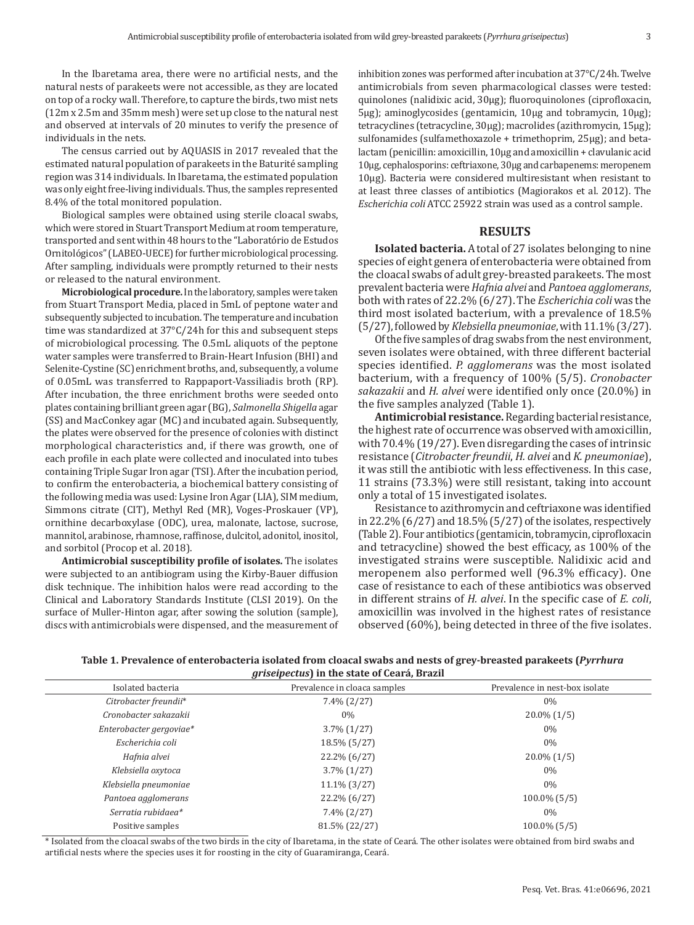In the Ibaretama area, there were no artificial nests, and the natural nests of parakeets were not accessible, as they are located on top of a rocky wall. Therefore, to capture the birds, two mist nets (12m x 2.5m and 35mm mesh) were set up close to the natural nest and observed at intervals of 20 minutes to verify the presence of individuals in the nets.

The census carried out by AQUASIS in 2017 revealed that the estimated natural population of parakeets in the Baturité sampling region was 314 individuals. In Ibaretama, the estimated population was only eight free-living individuals. Thus, the samples represented 8.4% of the total monitored population.

Biological samples were obtained using sterile cloacal swabs, which were stored in Stuart Transport Medium at room temperature, transported and sent within 48 hours to the "Laboratório de Estudos Ornitológicos" (LABEO-UECE) for further microbiological processing. After sampling, individuals were promptly returned to their nests or released to the natural environment.

**Microbiological procedure.** In the laboratory, samples were taken from Stuart Transport Media, placed in 5mL of peptone water and subsequently subjected to incubation. The temperature and incubation time was standardized at 37°C/24h for this and subsequent steps of microbiological processing. The 0.5mL aliquots of the peptone water samples were transferred to Brain-Heart Infusion (BHI) and Selenite-Cystine (SC) enrichment broths, and, subsequently, a volume of 0.05mL was transferred to Rappaport-Vassiliadis broth (RP). After incubation, the three enrichment broths were seeded onto plates containing brilliant green agar (BG), *Salmonella Shigella* agar (SS) and MacConkey agar (MC) and incubated again. Subsequently, the plates were observed for the presence of colonies with distinct morphological characteristics and, if there was growth, one of each profile in each plate were collected and inoculated into tubes containing Triple Sugar Iron agar (TSI). After the incubation period, to confirm the enterobacteria, a biochemical battery consisting of the following media was used: Lysine Iron Agar (LIA), SIM medium, Simmons citrate (CIT), Methyl Red (MR), Voges-Proskauer (VP), ornithine decarboxylase (ODC), urea, malonate, lactose, sucrose, mannitol, arabinose, rhamnose, raffinose, dulcitol, adonitol, inositol, and sorbitol (Procop et al. 2018).

**Antimicrobial susceptibility profile of isolates.** The isolates were subjected to an antibiogram using the Kirby-Bauer diffusion disk technique. The inhibition halos were read according to the Clinical and Laboratory Standards Institute (CLSI 2019). On the surface of Muller-Hinton agar, after sowing the solution (sample), discs with antimicrobials were dispensed, and the measurement of inhibition zones was performed after incubation at 37°C/24h. Twelve antimicrobials from seven pharmacological classes were tested: quinolones (nalidixic acid, 30μg); fluoroquinolones (ciprofloxacin, 5μg); aminoglycosides (gentamicin, 10μg and tobramycin, 10μg); tetracyclines (tetracycline, 30μg); macrolides (azithromycin, 15μg); sulfonamides (sulfamethoxazole + trimethoprim, 25μg); and betalactam (penicillin: amoxicillin, 10μg and amoxicillin + clavulanic acid 10μg, cephalosporins: ceftriaxone, 30μg and carbapenems: meropenem 10μg). Bacteria were considered multiresistant when resistant to at least three classes of antibiotics (Magiorakos et al. 2012). The *Escherichia coli* ATCC 25922 strain was used as a control sample.

#### **RESULTS**

**Isolated bacteria.** A total of 27 isolates belonging to nine species of eight genera of enterobacteria were obtained from the cloacal swabs of adult grey-breasted parakeets. The most prevalent bacteria were *Hafnia alvei* and *Pantoea agglomerans*, both with rates of 22.2% (6/27). The *Escherichia coli* was the third most isolated bacterium, with a prevalence of 18.5% (5/27), followed by *Klebsiella pneumoniae*, with 11.1% (3/27).

Of the five samples of drag swabs from the nest environment, seven isolates were obtained, with three different bacterial species identified. *P. agglomerans* was the most isolated bacterium, with a frequency of 100% (5/5). *Cronobacter sakazakii* and *H. alvei* were identified only once (20.0%) in the five samples analyzed (Table 1).

**Antimicrobial resistance.** Regarding bacterial resistance, the highest rate of occurrence was observed with amoxicillin, with 70.4% (19/27). Even disregarding the cases of intrinsic resistance (*Citrobacter freundii*, *H. alvei* and *K. pneumoniae*), it was still the antibiotic with less effectiveness. In this case, 11 strains (73.3%) were still resistant, taking into account only a total of 15 investigated isolates.

Resistance to azithromycin and ceftriaxone was identified in 22.2% (6/27) and 18.5% (5/27) of the isolates, respectively (Table 2). Four antibiotics (gentamicin, tobramycin, ciprofloxacin and tetracycline) showed the best efficacy, as 100% of the investigated strains were susceptible. Nalidixic acid and meropenem also performed well (96.3% efficacy). One case of resistance to each of these antibiotics was observed in different strains of *H. alvei*. In the specific case of *E. coli*, amoxicillin was involved in the highest rates of resistance observed (60%), being detected in three of the five isolates.

| Table 1. Prevalence of enterobacteria isolated from cloacal swabs and nests of grey-breasted parakeets (Pyrrhura |
|------------------------------------------------------------------------------------------------------------------|
| <i>griseipectus</i> ) in the state of Ceará, Brazil                                                              |

| Isolated bacteria       | Prevalence in cloaca samples | Prevalence in nest-box isolate |
|-------------------------|------------------------------|--------------------------------|
| Citrobacter freundii*   | $7.4\%$ (2/27)               | $0\%$                          |
| Cronobacter sakazakii   | $0\%$                        | $20.0\%$ (1/5)                 |
| Enterobacter gergoviae* | $3.7\%$ $(1/27)$             | $0\%$                          |
| Escherichia coli        | 18.5% (5/27)                 | $0\%$                          |
| Hafnia alvei            | 22.2% (6/27)                 | $20.0\%$ (1/5)                 |
| Klebsiella oxytoca      | $3.7\%$ (1/27)               | $0\%$                          |
| Klebsiella pneumoniae   | $11.1\%$ (3/27)              | $0\%$                          |
| Pantoea agglomerans     | 22.2% (6/27)                 | $100.0\%$ (5/5)                |
| Serratia rubidaea*      | $7.4\%$ (2/27)               | $0\%$                          |
| Positive samples        | 81.5% (22/27)                | $100.0\%$ (5/5)                |

\* Isolated from the cloacal swabs of the two birds in the city of Ibaretama, in the state of Ceará. The other isolates were obtained from bird swabs and artificial nests where the species uses it for roosting in the city of Guaramiranga, Ceará.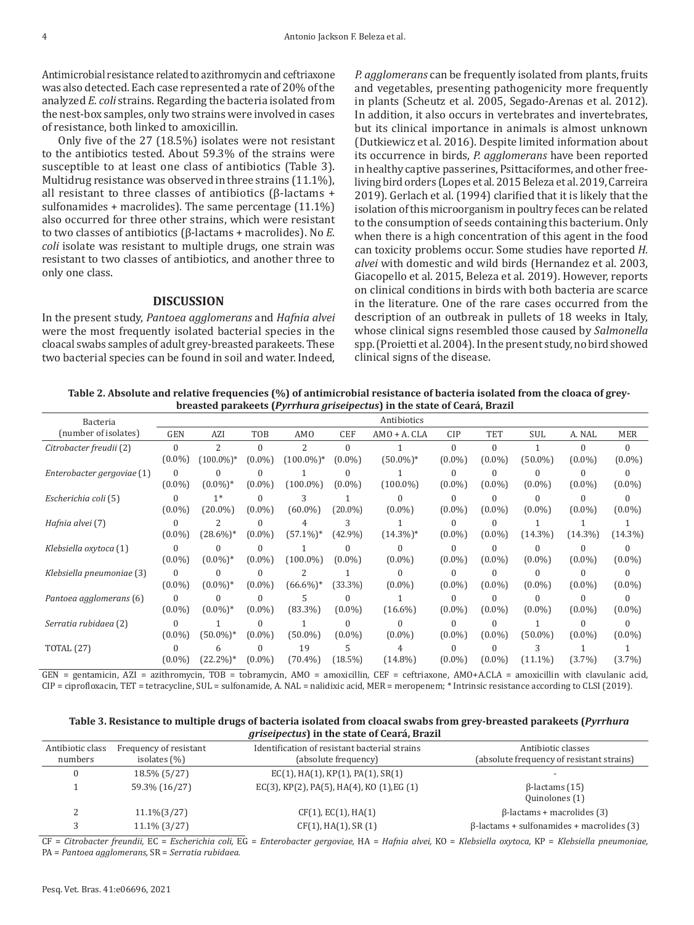Antimicrobial resistance related to azithromycin and ceftriaxone was also detected. Each case represented a rate of 20% of the analyzed *E. coli* strains. Regarding the bacteria isolated from the nest-box samples, only two strains were involved in cases of resistance, both linked to amoxicillin.

Only five of the 27 (18.5%) isolates were not resistant to the antibiotics tested. About 59.3% of the strains were susceptible to at least one class of antibiotics (Table 3). Multidrug resistance was observed in three strains (11.1%), all resistant to three classes of antibiotics (β-lactams + sulfonamides + macrolides). The same percentage  $(11.1\%)$ also occurred for three other strains, which were resistant to two classes of antibiotics (β-lactams + macrolides). No *E. coli* isolate was resistant to multiple drugs, one strain was resistant to two classes of antibiotics, and another three to only one class.

# **DISCUSSION**

In the present study, *Pantoea agglomerans* and *Hafnia alvei*  were the most frequently isolated bacterial species in the cloacal swabs samples of adult grey-breasted parakeets. These two bacterial species can be found in soil and water. Indeed, *P. agglomerans* can be frequently isolated from plants, fruits and vegetables, presenting pathogenicity more frequently in plants (Scheutz et al. 2005, Segado-Arenas et al. 2012). In addition, it also occurs in vertebrates and invertebrates, but its clinical importance in animals is almost unknown (Dutkiewicz et al. 2016). Despite limited information about its occurrence in birds, *P. agglomerans* have been reported in healthy captive passerines, Psittaciformes, and other freeliving bird orders (Lopes et al. 2015 Beleza et al. 2019, Carreira 2019). Gerlach et al. (1994) clarified that it is likely that the isolation of this microorganism in poultry feces can be related to the consumption of seeds containing this bacterium. Only when there is a high concentration of this agent in the food can toxicity problems occur. Some studies have reported *H. alvei* with domestic and wild birds (Hernandez et al. 2003, Giacopello et al. 2015, Beleza et al. 2019). However, reports on clinical conditions in birds with both bacteria are scarce in the literature. One of the rare cases occurred from the description of an outbreak in pullets of 18 weeks in Italy, whose clinical signs resembled those caused by *Salmonella* spp. (Proietti et al. 2004). In the present study, no bird showed clinical signs of the disease.

**Table 2. Absolute and relative frequencies (%) of antimicrobial resistance of bacteria isolated from the cloaca of greybreasted parakeets (***Pyrrhura griseipectus***) in the state of Ceará, Brazil**

| Bacteria                   |            |              |            |                          |            | Antibiotics     |            |           |            |            |            |
|----------------------------|------------|--------------|------------|--------------------------|------------|-----------------|------------|-----------|------------|------------|------------|
| (number of isolates)       | <b>GEN</b> | AZI          | <b>TOB</b> | AM <sub>0</sub>          | <b>CEF</b> | $AMO + A$ . CLA | <b>CIP</b> | TET       | <b>SUL</b> | A. NAL     | <b>MER</b> |
| Citrobacter freudii (2)    | $\Omega$   | 2            | $\Omega$   | $\overline{\mathcal{L}}$ | $\Omega$   |                 | 0          | $\theta$  |            | 0          | $\theta$   |
|                            | $(0.0\%)$  | $(100.0\%)*$ | $(0.0\%)$  | $(100.0\%)*$             | $(0.0\%)$  | $(50.0\%)*$     | $(0.0\%)$  | $(0.0\%)$ | $(50.0\%)$ | $(0.0\%)$  | $(0.0\%)$  |
| Enterobacter gergoviae (1) | $\Omega$   |              |            |                          |            |                 | O          |           |            |            |            |
|                            | $(0.0\%)$  | (0.0%)*      | $(0.0\%)$  | $(100.0\%)$              | $(0.0\%)$  | $(100.0\%)$     | $(0.0\%)$  | $(0.0\%)$ | $(0.0\%)$  | $(0.0\%)$  | $(0.0\%)$  |
| Escherichia coli (5)       |            | $1*$         |            | 3                        |            |                 | 0          |           |            |            |            |
|                            | $(0.0\%)$  | (20.0%)      | $(0.0\%)$  | $(60.0\%)$               | (20.0%)    | $(0.0\%)$       | $(0.0\%)$  | $(0.0\%)$ | $(0.0\%)$  | $(0.0\%)$  | $(0.0\%)$  |
| Hafnia alvei (7)           |            |              |            | 4                        | 3          |                 | 0          |           |            |            |            |
|                            | $(0.0\%)$  | $(28.6\%)*$  | $(0.0\%)$  | $(57.1\%)*$              | $(42.9\%)$ | $(14.3\%)*$     | $(0.0\%)$  | $(0.0\%)$ | $(14.3\%)$ | $(14.3\%)$ | $(14.3\%)$ |
| Klebsiella oxytoca (1)     | $\Omega$   |              |            |                          |            |                 | 0          |           |            |            |            |
|                            | $(0.0\%)$  | (0.0%)*      | $(0.0\%)$  | $(100.0\%)$              | $(0.0\%)$  | $(0.0\%)$       | $(0.0\%)$  | $(0.0\%)$ | $(0.0\%)$  | $(0.0\%)$  | $(0.0\%)$  |
| Klebsiella pneumoniae (3)  | $\Omega$   |              |            | $\overline{\mathcal{L}}$ |            |                 | U          |           |            |            | ſ          |
|                            | $(0.0\%)$  | $(0.0\%)*$   | $(0.0\%)$  | $(66.6\%)*$              | (33.3%)    | $(0.0\%)$       | $(0.0\%)$  | $(0.0\%)$ | $(0.0\%)$  | $(0.0\%)$  | $(0.0\%)$  |
| Pantoea agglomerans (6)    |            |              |            | 5                        |            |                 | 0          |           | 0          |            |            |
|                            | $(0.0\%)$  | $(0.0\%)*$   | $(0.0\%)$  | $(83.3\%)$               | $(0.0\%)$  | $(16.6\%)$      | $(0.0\%)$  | $(0.0\%)$ | $(0.0\%)$  | $(0.0\%)$  | $(0.0\%)$  |
| Serratia rubidaea (2)      | $\Omega$   |              |            |                          |            |                 | 0          |           |            |            | 0          |
|                            | $(0.0\%)$  | (50.0%)*     | $(0.0\%)$  | $(50.0\%)$               | $(0.0\%)$  | $(0.0\%)$       | $(0.0\%)$  | $(0.0\%)$ | $(50.0\%)$ | $(0.0\%)$  | $(0.0\%)$  |
| <b>TOTAL</b> (27)          | $\Omega$   | h            |            | 19                       | 5          | 4               |            |           |            |            |            |
|                            | $(0.0\%)$  | $(22.2\%)*$  | $(0.0\%)$  | $(70.4\%)$               | (18.5%)    | $(14.8\%)$      | $(0.0\%)$  | $(0.0\%)$ | (11.1%)    | $(3.7\%)$  | $(3.7\%)$  |

GEN = gentamicin, AZI = azithromycin, TOB = tobramycin, AMO = amoxicillin, CEF = ceftriaxone, AMO+A.CLA = amoxicillin with clavulanic acid, CIP = ciprofloxacin, TET = tetracycline, SUL = sulfonamide, A. NAL = nalidixic acid, MER = meropenem; \* Intrinsic resistance according to CLSI (2019).

| Table 3. Resistance to multiple drugs of bacteria isolated from cloacal swabs from grey-breasted parakeets (Pyrrhura |  |
|----------------------------------------------------------------------------------------------------------------------|--|
| <i>griseipectus</i> ) in the state of Ceará, Brazil                                                                  |  |

| Antibiotic class<br>numbers | Frequency of resistant<br>isolates $(\%)$ | Identification of resistant bacterial strains<br>(absolute frequency) | Antibiotic classes<br>(absolute frequency of resistant strains) |
|-----------------------------|-------------------------------------------|-----------------------------------------------------------------------|-----------------------------------------------------------------|
| υ                           | 18.5% (5/27)                              | $EC(1)$ , HA $(1)$ , KP $(1)$ , PA $(1)$ , SR $(1)$                   |                                                                 |
|                             | 59.3% (16/27)                             | EC(3), KP(2), PA(5), HA(4), KO (1), EG (1)                            | $\beta$ -lactams (15)<br>Quinolones (1)                         |
|                             | $11.1\%(3/27)$                            | $CF(1)$ , $EC(1)$ , $HA(1)$                                           | $\beta$ -lactams + macrolides (3)                               |
|                             | $11.1\%$ (3/27)                           | $CF(1)$ , HA $(1)$ , SR $(1)$                                         | $\beta$ -lactams + sulfonamides + macrolides (3)                |

CF = *Citrobacter freundii,* EC = *Escherichia coli,* EG = *Enterobacter gergoviae,* HA = *Hafnia alvei,* KO = *Klebsiella oxytoca,* KP = *Klebsiella pneumoniae,* PA = *Pantoea agglomerans,* SR = *Serratia rubidaea.*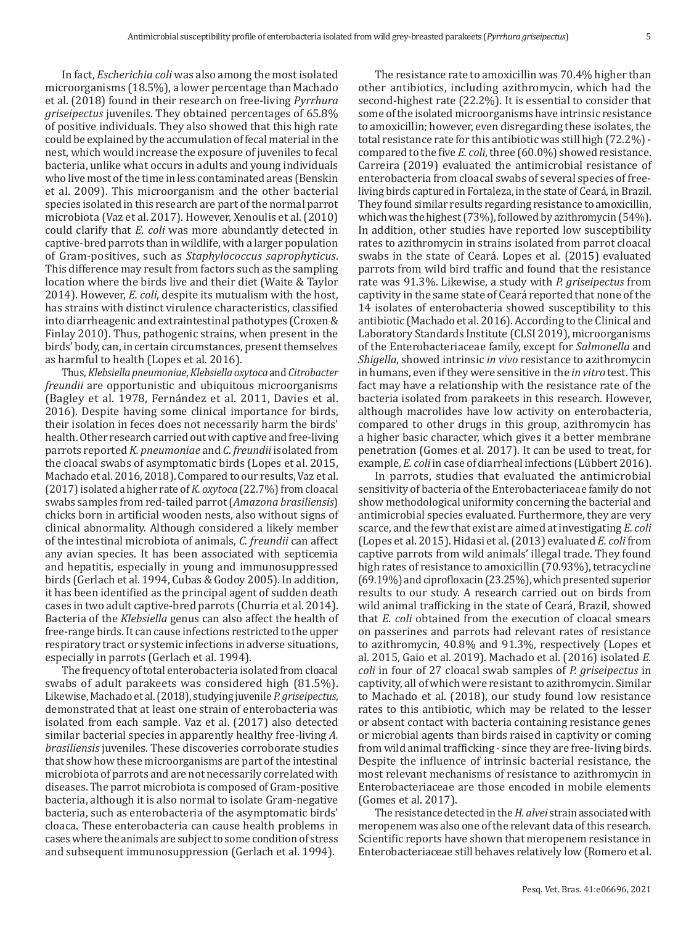In fact, *Escherichia coli* was also among the most isolated microorganisms (18.5%), a lower percentage than Machado et al. (2018) found in their research on free-living *Pyrrhura griseipectus* juveniles. They obtained percentages of 65.8% of positive individuals. They also showed that this high rate could be explained by the accumulation of fecal material in the nest, which would increase the exposure of juveniles to fecal bacteria, unlike what occurs in adults and young individuals who live most of the time in less contaminated areas (Benskin et al. 2009). This microorganism and the other bacterial species isolated in this research are part of the normal parrot microbiota (Vaz et al. 2017). However, Xenoulis et al. (2010) could clarify that *E. coli* was more abundantly detected in captive-bred parrots than in wildlife, with a larger population of Gram-positives, such as *Staphylococcus saprophyticus*. This difference may result from factors such as the sampling location where the birds live and their diet (Waite & Taylor 2014). However, *E. coli*, despite its mutualism with the host, has strains with distinct virulence characteristics, classified into diarrheagenic and extraintestinal pathotypes (Croxen & Finlay 2010). Thus, pathogenic strains, when present in the birds' body, can, in certain circumstances, present themselves as harmful to health (Lopes et al. 2016).

Thus, *Klebsiella pneumoniae*, *Klebsiella oxytoca* and *Citrobacter freundii* are opportunistic and ubiquitous microorganisms (Bagley et al. 1978, Fernández et al. 2011, Davies et al. 2016). Despite having some clinical importance for birds, their isolation in feces does not necessarily harm the birds' health. Other research carried out with captive and free-living parrots reported *K. pneumoniae* and *C. freundii* isolated from the cloacal swabs of asymptomatic birds (Lopes et al. 2015, Machado et al. 2016, 2018). Compared to our results, Vaz et al. (2017) isolated a higher rate of *K. oxytoca* (22.7%) from cloacal swabs samples from red-tailed parrot (*Amazona brasiliensis*) chicks born in artificial wooden nests, also without signs of clinical abnormality. Although considered a likely member of the intestinal microbiota of animals, *C. freundii* can affect any avian species. It has been associated with septicemia and hepatitis, especially in young and immunosuppressed birds (Gerlach et al. 1994, Cubas & Godoy 2005). In addition, it has been identified as the principal agent of sudden death cases in two adult captive-bred parrots (Churria et al. 2014). Bacteria of the *Klebsiella* genus can also affect the health of free-range birds. It can cause infections restricted to the upper respiratory tract or systemic infections in adverse situations, especially in parrots (Gerlach et al. 1994).

The frequency of total enterobacteria isolated from cloacal swabs of adult parakeets was considered high (81.5%). Likewise, Machado et al. (2018), studying juvenile *P. griseipectus*, demonstrated that at least one strain of enterobacteria was isolated from each sample. Vaz et al. (2017) also detected similar bacterial species in apparently healthy free-living *A. brasiliensis* juveniles. These discoveries corroborate studies that show how these microorganisms are part of the intestinal microbiota of parrots and are not necessarily correlated with diseases. The parrot microbiota is composed of Gram-positive bacteria, although it is also normal to isolate Gram-negative bacteria, such as enterobacteria of the asymptomatic birds' cloaca. These enterobacteria can cause health problems in cases where the animals are subject to some condition of stress and subsequent immunosuppression (Gerlach et al. 1994).

The resistance rate to amoxicillin was 70.4% higher than other antibiotics, including azithromycin, which had the second-highest rate (22.2%). It is essential to consider that some of the isolated microorganisms have intrinsic resistance to amoxicillin; however, even disregarding these isolates, the total resistance rate for this antibiotic was still high (72.2%) compared to the five *E. coli*, three (60.0%) showed resistance. Carreira (2019) evaluated the antimicrobial resistance of enterobacteria from cloacal swabs of several species of freeliving birds captured in Fortaleza, in the state of Ceará, in Brazil. They found similar results regarding resistance to amoxicillin, which was the highest (73%), followed by azithromycin (54%). In addition, other studies have reported low susceptibility rates to azithromycin in strains isolated from parrot cloacal swabs in the state of Ceará. Lopes et al. (2015) evaluated parrots from wild bird traffic and found that the resistance rate was 91.3%. Likewise, a study with *P. griseipectus* from captivity in the same state of Ceará reported that none of the 14 isolates of enterobacteria showed susceptibility to this antibiotic (Machado et al. 2016). According to the Clinical and Laboratory Standards Institute (CLSI 2019), microorganisms of the Enterobacteriaceae family, except for *Salmonella* and *Shigella*, showed intrinsic *in vivo* resistance to azithromycin in humans, even if they were sensitive in the *in vitro* test. This fact may have a relationship with the resistance rate of the bacteria isolated from parakeets in this research. However, although macrolides have low activity on enterobacteria, compared to other drugs in this group, azithromycin has a higher basic character, which gives it a better membrane penetration (Gomes et al. 2017). It can be used to treat, for example, *E. coli* in case of diarrheal infections (Lübbert 2016).

In parrots, studies that evaluated the antimicrobial sensitivity of bacteria of the Enterobacteriaceae family do not show methodological uniformity concerning the bacterial and antimicrobial species evaluated. Furthermore, they are very scarce, and the few that exist are aimed at investigating *E. coli* (Lopes et al. 2015). Hidasi et al. (2013) evaluated *E. coli* from captive parrots from wild animals' illegal trade. They found high rates of resistance to amoxicillin (70.93%), tetracycline (69.19%) and ciprofloxacin (23.25%), which presented superior results to our study. A research carried out on birds from wild animal trafficking in the state of Ceará, Brazil, showed that *E. coli* obtained from the execution of cloacal smears on passerines and parrots had relevant rates of resistance to azithromycin, 40.8% and 91.3%, respectively (Lopes et al. 2015, Gaio et al. 2019). Machado et al. (2016) isolated *E. coli* in four of 27 cloacal swab samples of *P. griseipectus* in captivity, all of which were resistant to azithromycin. Similar to Machado et al. (2018), our study found low resistance rates to this antibiotic, which may be related to the lesser or absent contact with bacteria containing resistance genes or microbial agents than birds raised in captivity or coming from wild animal trafficking - since they are free-living birds. Despite the influence of intrinsic bacterial resistance, the most relevant mechanisms of resistance to azithromycin in Enterobacteriaceae are those encoded in mobile elements (Gomes et al. 2017).

The resistance detected in the *H. alvei* strain associated with meropenem was also one of the relevant data of this research. Scientific reports have shown that meropenem resistance in Enterobacteriaceae still behaves relatively low (Romero et al.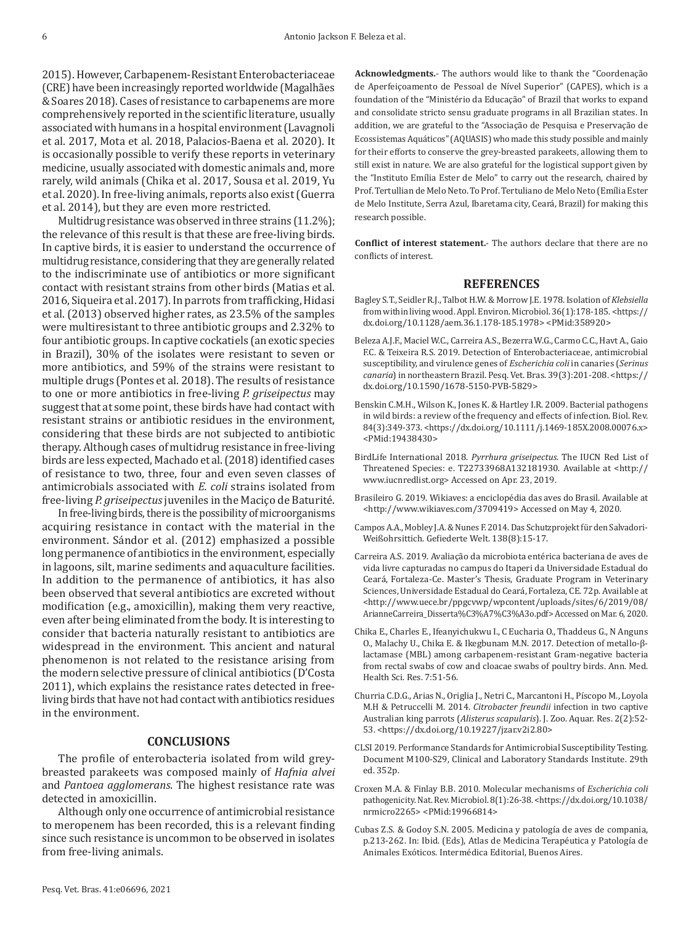2015). However, Carbapenem-Resistant Enterobacteriaceae (CRE) have been increasingly reported worldwide (Magalhães & Soares 2018). Cases of resistance to carbapenems are more comprehensively reported in the scientific literature, usually associated with humans in a hospital environment (Lavagnoli et al. 2017, Mota et al. 2018, Palacios-Baena et al. 2020). It is occasionally possible to verify these reports in veterinary medicine, usually associated with domestic animals and, more rarely, wild animals (Chika et al. 2017, Sousa et al. 2019, Yu et al. 2020). In free-living animals, reports also exist (Guerra et al. 2014), but they are even more restricted.

Multidrug resistance was observed in three strains (11.2%); the relevance of this result is that these are free-living birds. In captive birds, it is easier to understand the occurrence of multidrug resistance, considering that they are generally related to the indiscriminate use of antibiotics or more significant contact with resistant strains from other birds (Matias et al. 2016, Siqueira et al. 2017). In parrots from trafficking, Hidasi et al. (2013) observed higher rates, as 23.5% of the samples were multiresistant to three antibiotic groups and 2.32% to four antibiotic groups. In captive cockatiels (an exotic species in Brazil), 30% of the isolates were resistant to seven or more antibiotics, and 59% of the strains were resistant to multiple drugs (Pontes et al. 2018). The results of resistance to one or more antibiotics in free-living *P. griseipectus* may suggest that at some point, these birds have had contact with resistant strains or antibiotic residues in the environment, considering that these birds are not subjected to antibiotic therapy. Although cases of multidrug resistance in free-living birds are less expected, Machado et al. (2018) identified cases of resistance to two, three, four and even seven classes of antimicrobials associated with *E. coli* strains isolated from free-living *P. griseipectus* juveniles in the Maciço de Baturité.

In free-living birds, there is the possibility of microorganisms acquiring resistance in contact with the material in the environment. Sándor et al. (2012) emphasized a possible long permanence of antibiotics in the environment, especially in lagoons, silt, marine sediments and aquaculture facilities. In addition to the permanence of antibiotics, it has also been observed that several antibiotics are excreted without modification (e.g., amoxicillin), making them very reactive, even after being eliminated from the body. It is interesting to consider that bacteria naturally resistant to antibiotics are widespread in the environment. This ancient and natural phenomenon is not related to the resistance arising from the modern selective pressure of clinical antibiotics (D'Costa 2011), which explains the resistance rates detected in freeliving birds that have not had contact with antibiotics residues in the environment.

## **CONCLUSIONS**

The profile of enterobacteria isolated from wild greybreasted parakeets was composed mainly of *Hafnia alvei* and *Pantoea agglomerans*. The highest resistance rate was detected in amoxicillin.

Although only one occurrence of antimicrobial resistance to meropenem has been recorded, this is a relevant finding since such resistance is uncommon to be observed in isolates from free-living animals.

**Acknowledgments.**- The authors would like to thank the "Coordenação de Aperfeiçoamento de Pessoal de Nível Superior" (CAPES), which is a foundation of the "Ministério da Educação" of Brazil that works to expand and consolidate stricto sensu graduate programs in all Brazilian states. In addition, we are grateful to the "Associação de Pesquisa e Preservação de Ecossistemas Aquáticos" (AQUASIS) who made this study possible and mainly for their efforts to conserve the grey-breasted parakeets, allowing them to still exist in nature. We are also grateful for the logistical support given by the "Instituto Emília Ester de Melo" to carry out the research, chaired by Prof. Tertullian de Melo Neto. To Prof. Tertuliano de Melo Neto (Emília Ester de Melo Institute, Serra Azul, Ibaretama city, Ceará, Brazil) for making this research possible.

**Conflict of interest statement.**- The authors declare that there are no conflicts of interest.

## **REFERENCES**

- Bagley S.T., Seidler R.J., Talbot H.W. & Morrow J.E. 1978. Isolation of *Klebsiella* from within living wood. Appl. Environ. Microbiol. 36(1):178-185. <https:// dx.doi.org/10.1128/aem.36.1.178-185.1978> <PMid:[358920](https://pubmed.ncbi.nlm.nih.gov/358920)>
- Beleza A.J.F., Maciel W.C., Carreira A.S., Bezerra W.G., Carmo C.C., Havt A., Gaio F.C. & Teixeira R.S. 2019. Detection of Enterobacteriaceae, antimicrobial susceptibility, and virulence genes of *Escherichia coli* in canaries (*Serinus canaria*) in northeastern Brazil. Pesq. Vet. Bras. 39(3):201-208. <https:// dx.doi.org/10.1590/1678-5150-PVB-5829>
- Benskin C.M.H., Wilson K., Jones K. & Hartley I.R. 2009. Bacterial pathogens in wild birds: a review of the frequency and effects of infection. Biol. Rev. 84(3):349-373. <https://dx.doi.org/10.1111/j.1469-185X.2008.00076.x> <PMid[:19438430>](https://pubmed.ncbi.nlm.nih.gov/19438430)
- BirdLife International 2018. *Pyrrhura griseipectus*. The IUCN Red List of Threatened Species: e. T22733968A132181930. Available at <http:// www.iucnredlist.org> Accessed on Apr. 23, 2019.
- Brasileiro G. 2019. Wikiaves: a enciclopédia das aves do Brasil. Available at <http://www.wikiaves.com/3709419> Accessed on May 4, 2020.
- Campos A.A., Mobley J.A. & Nunes F. 2014. Das Schutzprojekt für den Salvadori-Weißohrsittich. Gefiederte Welt. 138(8):15-17.
- Carreira A.S. 2019. Avaliação da microbiota entérica bacteriana de aves de vida livre capturadas no campus do Itaperi da Universidade Estadual do Ceará, Fortaleza-Ce. Master's Thesis, Graduate Program in Veterinary Sciences, Universidade Estadual do Ceará, Fortaleza, CE. 72p. Available at <http://www.uece.br/ppgcvwp/wpcontent/uploads/sites/6/2019/08/ ArianneCarreira\_Disserta%C3%A7%C3%A3o.pdf> Accessed on Mar. 6, 2020.
- Chika E., Charles E., Ifeanyichukwu I., C Eucharia O., Thaddeus G., N Anguns O., Malachy U., Chika E. & Ikegbunam M.N. 2017. Detection of metallo-βlactamase (MBL) among carbapenem-resistant Gram-negative bacteria from rectal swabs of cow and cloacae swabs of poultry birds. Ann. Med. Health Sci. Res. 7:51-56.
- Churria C.D.G., Arias N., Origlia J., Netri C., Marcantoni H., Píscopo M., Loyola M.H & Petruccelli M. 2014. *Citrobacter freundii* infection in two captive Australian king parrots (*Alisterus scapularis*). J. Zoo. Aquar. Res. 2(2):52- 53. <https://dx.doi.org/10.19227/jzar.v2i2.80>
- CLSI 2019. Performance Standards for Antimicrobial Susceptibility Testing. Document M100-S29, Clinical and Laboratory Standards Institute. 29th ed. 352p.
- Croxen M.A. & Finlay B.B. 2010. Molecular mechanisms of *Escherichia coli* pathogenicity. Nat. Rev. Microbiol. 8(1):26-38. <https://dx.doi.org/10.1038/ nrmicro2265> <PMid:[19966814](https://pubmed.ncbi.nlm.nih.gov/19966814)>
- Cubas Z.S. & Godoy S.N. 2005. Medicina y patología de aves de compania, p.213-262. In: Ibid. (Eds), Atlas de Medicina Terapéutica y Patología de Animales Exóticos. Intermédica Editorial, Buenos Aires.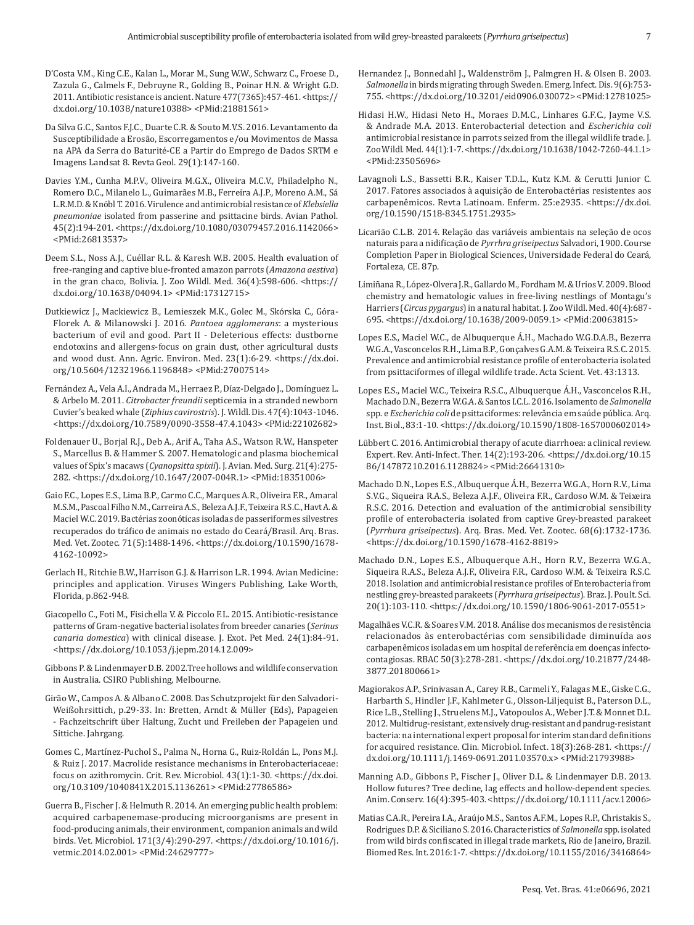- D'Costa V.M., King C.E., Kalan L., Morar M., Sung W.W., Schwarz C., Froese D., Zazula G., Calmels F., Debruyne R., Golding B., Poinar H.N. & Wright G.D. 2011. Antibiotic resistance is ancient. Nature 477(7365):457-461. <https:// dx.doi.org/10.1038/nature10388> <PMid[:21881561>](https://pubmed.ncbi.nlm.nih.gov/21881561)
- Da Silva G.C., Santos F.J.C., Duarte C.R. & Souto M.V.S. 2016. Levantamento da Susceptibilidade a Erosão, Escorregamentos e/ou Movimentos de Massa na APA da Serra do Baturité-CE a Partir do Emprego de Dados SRTM e Imagens Landsat 8. Revta Geol. 29(1):147-160.
- Davies Y.M., Cunha M.P.V., Oliveira M.G.X., Oliveira M.C.V., Philadelpho N., Romero D.C., Milanelo L., Guimarães M.B., Ferreira A.J.P., Moreno A.M., Sá L.R.M.D. & Knöbl T. 2016. Virulence and antimicrobial resistance of *Klebsiella pneumoniae* isolated from passerine and psittacine birds. Avian Pathol. 45(2):194-201. <https://dx.doi.org/10.1080/03079457.2016.1142066> <PMid[:26813537>](https://pubmed.ncbi.nlm.nih.gov/26813537)
- Deem S.L., Noss A.J., Cuéllar R.L. & Karesh W.B. 2005. Health evaluation of free-ranging and captive blue-fronted amazon parrots (*Amazona aestiva*) in the gran chaco, Bolivia. J. Zoo Wildl. Med. 36(4):598-606. <https:// dx.doi.org/10.1638/04094.1> <PMid:[17312715](https://pubmed.ncbi.nlm.nih.gov/17312715)>
- Dutkiewicz J., Mackiewicz B., Lemieszek M.K., Golec M., Skórska C., Góra-Florek A. & Milanowski J. 2016. *Pantoea agglomerans*: a mysterious bacterium of evil and good. Part II - Deleterious effects: dustborne endotoxins and allergens-focus on grain dust, other agricultural dusts and wood dust. Ann. Agric. Environ. Med. 23(1):6-29. <https://dx.doi. org/10.5604/12321966.1196848> <PMid[:27007514](https://pubmed.ncbi.nlm.nih.gov/27007514)>
- Fernández A., Vela A.I., Andrada M., Herraez P., Díaz-Delgado J., Domínguez L. & Arbelo M. 2011. *Citrobacter freundii* septicemia in a stranded newborn Cuvier's beaked whale (*Ziphius cavirostris*). J. Wildl. Dis. 47(4):1043-1046. <https://dx.doi.org/10.7589/0090-3558-47.4.1043> <PMid[:22102682](https://pubmed.ncbi.nlm.nih.gov/22102682)>
- Foldenauer U., Borjal R.J., Deb A., Arif A., Taha A.S., Watson R.W., Hanspeter S., Marcellus B. & Hammer S. 2007. Hematologic and plasma biochemical values of Spix's macaws (*Cyanopsitta spixii*). J. Avian. Med. Surg. 21(4):275- 282. <https://dx.doi.org/10.1647/2007-004R.1> <PMid:[18351006](https://pubmed.ncbi.nlm.nih.gov/18351006)>
- Gaio F.C., Lopes E.S., Lima B.P., Carmo C.C., Marques A.R., Oliveira F.R., Amaral M.S.M., Pascoal Filho N.M., Carreira A.S., Beleza A.J.F., Teixeira R.S.C., Havt A. & Maciel W.C. 2019. Bactérias zoonóticas isoladas de passeriformes silvestres recuperados do tráfico de animais no estado do Ceará/Brasil. Arq. Bras. Med. Vet. Zootec. 71(5):1488-1496. <https://dx.doi.org/10.1590/1678- 4162-10092>
- Gerlach H., Ritchie B.W., Harrison G.J. & Harrison L.R. 1994. Avian Medicine: principles and application. Viruses Wingers Publishing, Lake Worth, Florida, p.862-948.
- Giacopello C., Foti M., Fisichella V. & Piccolo F.L. 2015. Antibiotic-resistance patterns of Gram-negative bacterial isolates from breeder canaries (*Serinus canaria domestica*) with clinical disease. J. Exot. Pet Med. 24(1):84-91. <https://dx.doi.org/10.1053/j.jepm.2014.12.009>
- Gibbons P. & Lindenmayer D.B. 2002.Tree hollows and wildlife conservation in Australia. CSIRO Publishing, Melbourne.
- Girão W., Campos A. & Albano C. 2008. Das Schutzprojekt für den Salvadori-Weißohrsittich, p.29-33. In: Bretten, Arndt & Müller (Eds), Papageien - Fachzeitschrift über Haltung, Zucht und Freileben der Papageien und Sittiche. Jahrgang.
- Gomes C., Martínez-Puchol S., Palma N., Horna G., Ruiz-Roldán L., Pons M.J. & Ruiz J. 2017. Macrolide resistance mechanisms in Enterobacteriaceae: focus on azithromycin. Crit. Rev. Microbiol. 43(1):1-30. <https://dx.doi. org/10.3109/1040841X.2015.1136261> <PMid[:27786586>](https://pubmed.ncbi.nlm.nih.gov/27786586)
- Guerra B., Fischer J. & Helmuth R. 2014. An emerging public health problem: acquired carbapenemase-producing microorganisms are present in food-producing animals, their environment, companion animals and wild birds. Vet. Microbiol. 171(3/4):290-297. <https://dx.doi.org/10.1016/j. vetmic.2014.02.001> <PMid[:24629777](https://pubmed.ncbi.nlm.nih.gov/24629777)>
- Hernandez J., Bonnedahl J., Waldenström J., Palmgren H. & Olsen B. 2003. *Salmonella* in birds migrating through Sweden. Emerg. Infect. Dis. 9(6):753- 755. <https://dx.doi.org/10.3201/eid0906.030072> <PMid[:12781025>](https://pubmed.ncbi.nlm.nih.gov/12781025)
- Hidasi H.W., Hidasi Neto H., Moraes D.M.C., Linhares G.F.C., Jayme V.S. & Andrade M.A. 2013. Enterobacterial detection and *Escherichia coli* antimicrobial resistance in parrots seized from the illegal wildlife trade. J. Zoo Wildl. Med. 44(1):1-7. <https://dx.doi.org/10.1638/1042-7260-44.1.1> <PMid:[23505696](https://pubmed.ncbi.nlm.nih.gov/23505696)>
- Lavagnoli L.S., Bassetti B.R., Kaiser T.D.L., Kutz K.M. & Cerutti Junior C. 2017. Fatores associados à aquisição de Enterobactérias resistentes aos carbapenêmicos. Revta Latinoam. Enferm. 25:e2935. <https://dx.doi. org/10.1590/1518-8345.1751.2935>
- Licarião C.L.B. 2014. Relação das variáveis ambientais na seleção de ocos naturais para a nidificação de *Pyrrhra griseipectus* Salvadori, 1900. Course Completion Paper in Biological Sciences, Universidade Federal do Ceará, Fortaleza, CE. 87p.
- Limiñana R., López-Olvera J.R., Gallardo M., Fordham M. & Urios V. 2009. Blood chemistry and hematologic values in free-living nestlings of Montagu's Harriers (*Circus pygargus*) in a natural habitat. J. Zoo Wildl. Med. 40(4):687- 695. <https://dx.doi.org/10.1638/2009-0059.1> <PMid[:20063815>](https://pubmed.ncbi.nlm.nih.gov/20063815)
- Lopes E.S., Maciel W.C., de Albuquerque Á.H., Machado W.G.D.A.B., Bezerra W.G.A., Vasconcelos R.H., Lima B.P., Gonçalves G.A.M. & Teixeira R.S.C. 2015. Prevalence and antimicrobial resistance profile of enterobacteria isolated from psittaciformes of illegal wildlife trade. Acta Scient. Vet. 43:1313.
- Lopes E.S., Maciel W.C., Teixeira R.S.C., Albuquerque Á.H., Vasconcelos R.H., Machado D.N., Bezerra W.G.A. & Santos I.C.L. 2016. Isolamento de *Salmonella* spp. e *Escherichia coli* de psittaciformes: relevância em saúde pública. Arq. Inst. Biol., 83:1-10. <https://dx.doi.org/10.1590/1808-1657000602014>
- Lübbert C. 2016. Antimicrobial therapy of acute diarrhoea: a clinical review. Expert. Rev. Anti-Infect. Ther. 14(2):193-206. <https://dx.doi.org/10.15 86/14787210.2016.1128824> <PMid[:26641310>](https://pubmed.ncbi.nlm.nih.gov/26641310)
- Machado D.N., Lopes E.S., Albuquerque Á.H., Bezerra W.G.A., Horn R.V., Lima S.V.G., Siqueira R.A.S., Beleza A.J.F., Oliveira F.R., Cardoso W.M. & Teixeira R.S.C. 2016. Detection and evaluation of the antimicrobial sensibility profile of enterobacteria isolated from captive Grey-breasted parakeet (*Pyrrhura griseipectus*). Arq. Bras. Med. Vet. Zootec. 68(6):1732-1736. <https://dx.doi.org/10.1590/1678-4162-8819>
- Machado D.N., Lopes E.S., Albuquerque A.H., Horn R.V., Bezerra W.G.A., Siqueira R.A.S., Beleza A.J.F., Oliveira F.R., Cardoso W.M. & Teixeira R.S.C. 2018. Isolation and antimicrobial resistance profiles of Enterobacteria from nestling grey-breasted parakeets (*Pyrrhura griseipectus*). Braz. J. Poult. Sci. 20(1):103-110. <https://dx.doi.org/10.1590/1806-9061-2017-0551>
- Magalhães V.C.R. & Soares V.M. 2018. Análise dos mecanismos de resistência relacionados às enterobactérias com sensibilidade diminuída aos carbapenêmicos isoladas em um hospital de referência em doenças infectocontagiosas. RBAC 50(3):278-281. <https://dx.doi.org/10.21877/2448- 3877.201800661>
- Magiorakos A.P., Srinivasan A., Carey R.B., Carmeli Y., Falagas M.E., Giske C.G., Harbarth S., Hindler J.F., Kahlmeter G., Olsson-Liljequist B., Paterson D.L., Rice L.B., Stelling J., Struelens M.J., Vatopoulos A., Weber J.T. & Monnet D.L. 2012. Multidrug-resistant, extensively drug-resistant and pandrug-resistant bacteria: na international expert proposal for interim standard definitions for acquired resistance. Clin. Microbiol. Infect. 18(3):268-281. <https:// dx.doi.org/10.1111/j.1469-0691.2011.03570.x> <PMid:[21793988](https://pubmed.ncbi.nlm.nih.gov/21793988)>
- Manning A.D., Gibbons P., Fischer J., Oliver D.L. & Lindenmayer D.B. 2013. Hollow futures? Tree decline, lag effects and hollow-dependent species. Anim. Conserv. 16(4):395-403. <https://dx.doi.org/10.1111/acv.12006>
- Matias C.A.R., Pereira I.A., Araújo M.S., Santos A.F.M., Lopes R.P., Christakis S., Rodrigues D.P. & Siciliano S. 2016. Characteristics of *Salmonella* spp. isolated from wild birds confiscated in illegal trade markets, Rio de Janeiro, Brazil. Biomed Res. Int. 2016:1-7. <https://dx.doi.org/10.1155/2016/3416864>